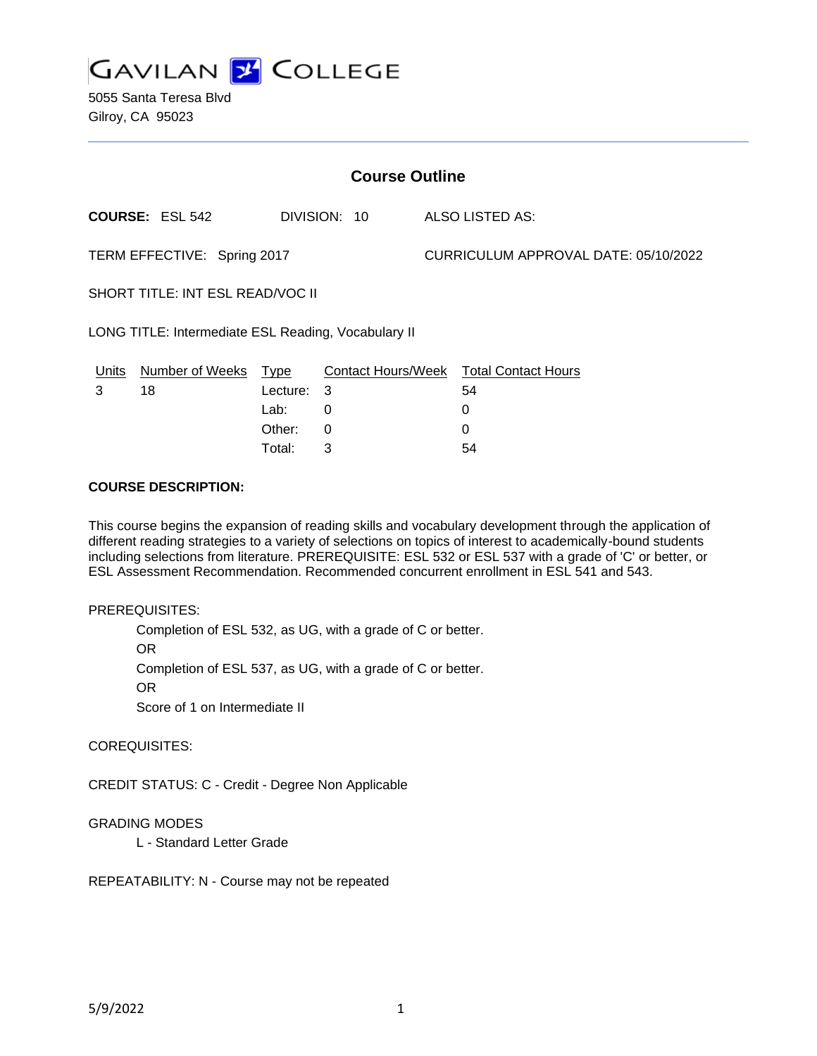

5055 Santa Teresa Blvd Gilroy, CA 95023

| <b>Course Outline</b>                               |                        |             |              |                                      |                                        |
|-----------------------------------------------------|------------------------|-------------|--------------|--------------------------------------|----------------------------------------|
|                                                     | <b>COURSE: ESL 542</b> |             | DIVISION: 10 |                                      | ALSO LISTED AS:                        |
| TERM EFFECTIVE: Spring 2017                         |                        |             |              | CURRICULUM APPROVAL DATE: 05/10/2022 |                                        |
| SHORT TITLE: INT ESL READ/VOC II                    |                        |             |              |                                      |                                        |
| LONG TITLE: Intermediate ESL Reading, Vocabulary II |                        |             |              |                                      |                                        |
| <u>Units</u>                                        | Number of Weeks        | <u>Type</u> |              |                                      | Contact Hours/Week Total Contact Hours |
| 3                                                   | 18                     | Lecture:    | 3            |                                      | 54                                     |
|                                                     |                        | Lab:        | 0            |                                      | 0                                      |
|                                                     |                        | Other:      | 0            |                                      | 0                                      |
|                                                     |                        | Total:      | 3            |                                      | 54                                     |

### **COURSE DESCRIPTION:**

This course begins the expansion of reading skills and vocabulary development through the application of different reading strategies to a variety of selections on topics of interest to academically-bound students including selections from literature. PREREQUISITE: ESL 532 or ESL 537 with a grade of 'C' or better, or ESL Assessment Recommendation. Recommended concurrent enrollment in ESL 541 and 543.

#### PREREQUISITES:

Completion of ESL 532, as UG, with a grade of C or better.

OR

Completion of ESL 537, as UG, with a grade of C or better.

OR

Score of 1 on Intermediate II

#### COREQUISITES:

CREDIT STATUS: C - Credit - Degree Non Applicable

### GRADING MODES

L - Standard Letter Grade

REPEATABILITY: N - Course may not be repeated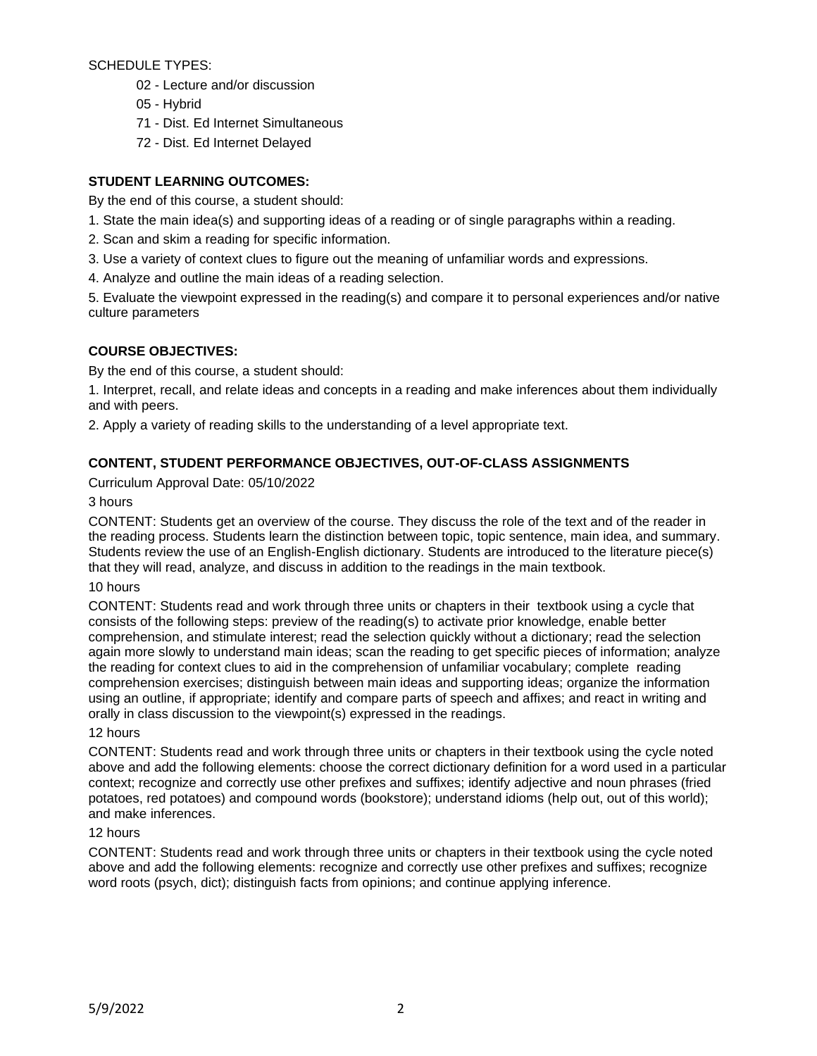SCHEDULE TYPES:

- 02 Lecture and/or discussion
- 05 Hybrid
- 71 Dist. Ed Internet Simultaneous
- 72 Dist. Ed Internet Delayed

# **STUDENT LEARNING OUTCOMES:**

By the end of this course, a student should:

- 1. State the main idea(s) and supporting ideas of a reading or of single paragraphs within a reading.
- 2. Scan and skim a reading for specific information.
- 3. Use a variety of context clues to figure out the meaning of unfamiliar words and expressions.
- 4. Analyze and outline the main ideas of a reading selection.

5. Evaluate the viewpoint expressed in the reading(s) and compare it to personal experiences and/or native culture parameters

# **COURSE OBJECTIVES:**

By the end of this course, a student should:

1. Interpret, recall, and relate ideas and concepts in a reading and make inferences about them individually and with peers.

2. Apply a variety of reading skills to the understanding of a level appropriate text.

# **CONTENT, STUDENT PERFORMANCE OBJECTIVES, OUT-OF-CLASS ASSIGNMENTS**

Curriculum Approval Date: 05/10/2022

# 3 hours

CONTENT: Students get an overview of the course. They discuss the role of the text and of the reader in the reading process. Students learn the distinction between topic, topic sentence, main idea, and summary. Students review the use of an English-English dictionary. Students are introduced to the literature piece(s) that they will read, analyze, and discuss in addition to the readings in the main textbook.

### 10 hours

CONTENT: Students read and work through three units or chapters in their textbook using a cycle that consists of the following steps: preview of the reading(s) to activate prior knowledge, enable better comprehension, and stimulate interest; read the selection quickly without a dictionary; read the selection again more slowly to understand main ideas; scan the reading to get specific pieces of information; analyze the reading for context clues to aid in the comprehension of unfamiliar vocabulary; complete reading comprehension exercises; distinguish between main ideas and supporting ideas; organize the information using an outline, if appropriate; identify and compare parts of speech and affixes; and react in writing and orally in class discussion to the viewpoint(s) expressed in the readings.

### 12 hours

CONTENT: Students read and work through three units or chapters in their textbook using the cycle noted above and add the following elements: choose the correct dictionary definition for a word used in a particular context; recognize and correctly use other prefixes and suffixes; identify adjective and noun phrases (fried potatoes, red potatoes) and compound words (bookstore); understand idioms (help out, out of this world); and make inferences.

### 12 hours

CONTENT: Students read and work through three units or chapters in their textbook using the cycle noted above and add the following elements: recognize and correctly use other prefixes and suffixes; recognize word roots (psych, dict); distinguish facts from opinions; and continue applying inference.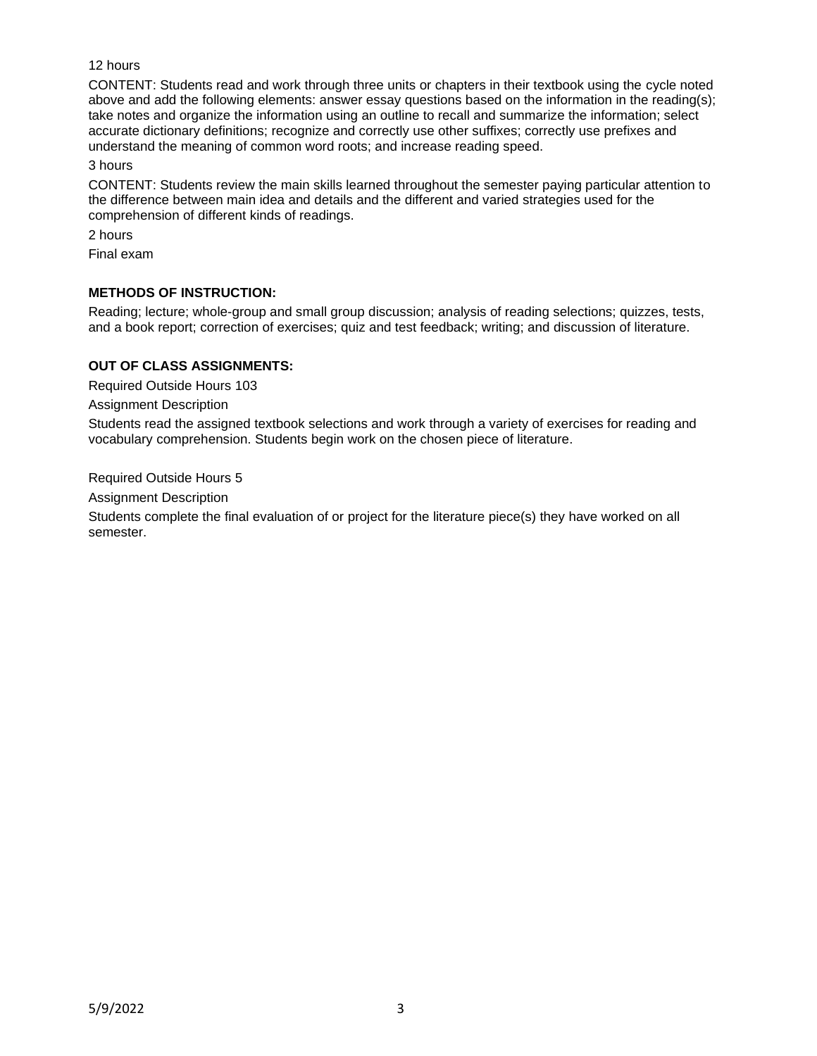## 12 hours

CONTENT: Students read and work through three units or chapters in their textbook using the cycle noted above and add the following elements: answer essay questions based on the information in the reading(s); take notes and organize the information using an outline to recall and summarize the information; select accurate dictionary definitions; recognize and correctly use other suffixes; correctly use prefixes and understand the meaning of common word roots; and increase reading speed.

3 hours

CONTENT: Students review the main skills learned throughout the semester paying particular attention to the difference between main idea and details and the different and varied strategies used for the comprehension of different kinds of readings.

2 hours

Final exam

### **METHODS OF INSTRUCTION:**

Reading; lecture; whole-group and small group discussion; analysis of reading selections; quizzes, tests, and a book report; correction of exercises; quiz and test feedback; writing; and discussion of literature.

### **OUT OF CLASS ASSIGNMENTS:**

Required Outside Hours 103

Assignment Description

Students read the assigned textbook selections and work through a variety of exercises for reading and vocabulary comprehension. Students begin work on the chosen piece of literature.

Required Outside Hours 5

Assignment Description

Students complete the final evaluation of or project for the literature piece(s) they have worked on all semester.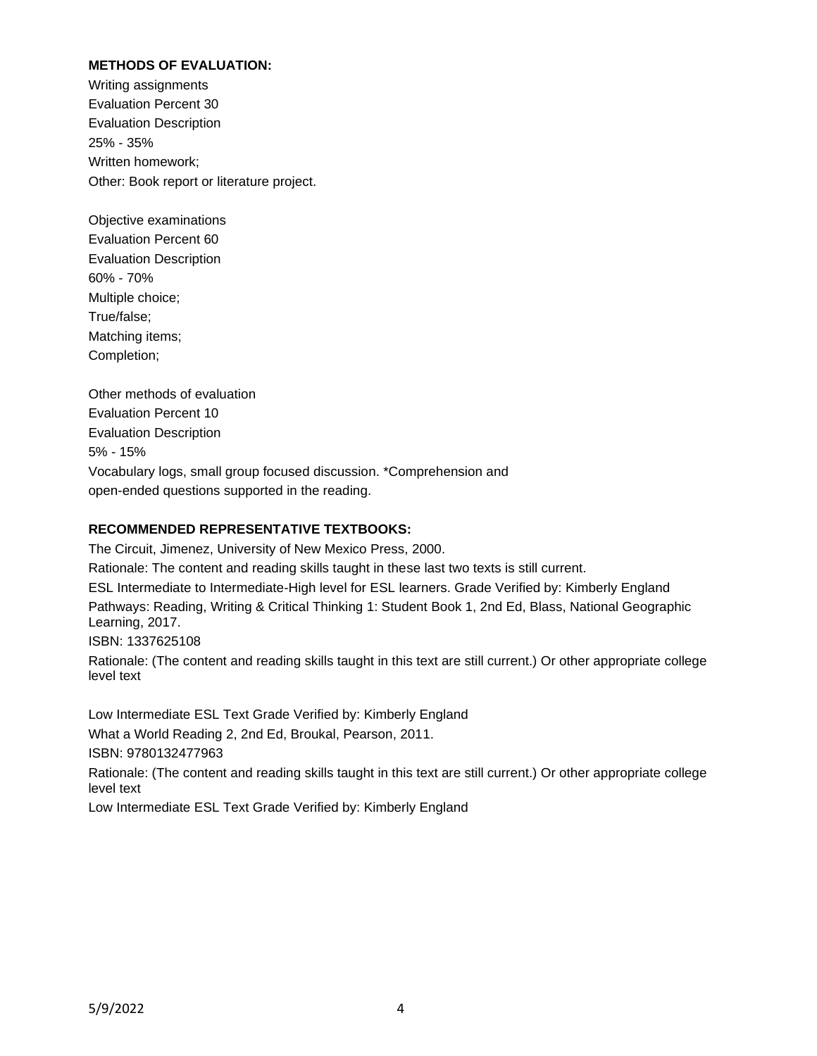## **METHODS OF EVALUATION:**

Writing assignments Evaluation Percent 30 Evaluation Description 25% - 35% Written homework; Other: Book report or literature project.

Objective examinations Evaluation Percent 60 Evaluation Description 60% - 70% Multiple choice; True/false; Matching items; Completion;

Other methods of evaluation Evaluation Percent 10 Evaluation Description 5% - 15% Vocabulary logs, small group focused discussion. \*Comprehension and open-ended questions supported in the reading.

## **RECOMMENDED REPRESENTATIVE TEXTBOOKS:**

The Circuit, Jimenez, University of New Mexico Press, 2000. Rationale: The content and reading skills taught in these last two texts is still current. ESL Intermediate to Intermediate-High level for ESL learners. Grade Verified by: Kimberly England Pathways: Reading, Writing & Critical Thinking 1: Student Book 1, 2nd Ed, Blass, National Geographic Learning, 2017. ISBN: 1337625108 Rationale: (The content and reading skills taught in this text are still current.) Or other appropriate college level text

Low Intermediate ESL Text Grade Verified by: Kimberly England What a World Reading 2, 2nd Ed, Broukal, Pearson, 2011. ISBN: 9780132477963 Rationale: (The content and reading skills taught in this text are still current.) Or other appropriate college level text Low Intermediate ESL Text Grade Verified by: Kimberly England